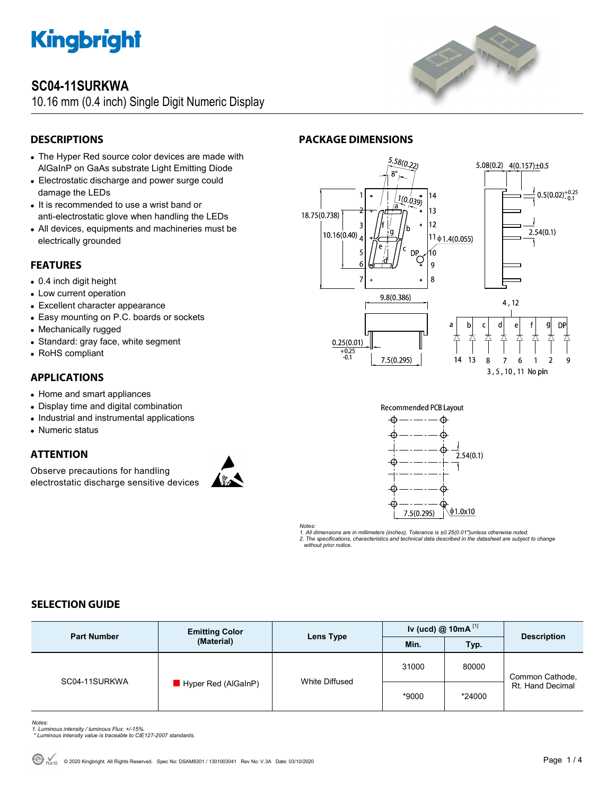

# **SC04-11SURKWA**

10.16 mm (0.4 inch) Single Digit Numeric Display



# **DESCRIPTIONS**

- The Hyper Red source color devices are made with AlGaInP on GaAs substrate Light Emitting Diode
- Electrostatic discharge and power surge could damage the LEDs
- It is recommended to use a wrist band or anti-electrostatic glove when handling the LEDs
- All devices, equipments and machineries must be electrically grounded

# **FEATURES**

- 0.4 inch digit height
- Low current operation
- Excellent character appearance
- Easy mounting on P.C. boards or sockets
- Mechanically rugged
- Standard: gray face, white segment
- RoHS compliant

### **APPLICATIONS**

- Home and smart appliances
- Display time and digital combination
- Industrial and instrumental applications
- Numeric status

# **ATTENTION**

Observe precautions for handling electrostatic discharge sensitive devices





**PACKAGE DIMENSIONS** 



*Notes:* 

*1. All dimensions are in millimeters (inches), Tolerance is ±0.25(0.01")unless otherwise noted. 2. The specifications, characteristics and technical data described in the datasheet are subject to change without prior notice.* 

# **SELECTION GUIDE**

| <b>Part Number</b> | <b>Emitting Color</b><br>(Material) | Lens Type      | Iv (ucd) $@$ 10mA $^{[1]}$ |        |                                     |
|--------------------|-------------------------------------|----------------|----------------------------|--------|-------------------------------------|
|                    |                                     |                | Min.                       | Typ.   | <b>Description</b>                  |
| SC04-11SURKWA      | Hyper Red (AlGaInP)                 | White Diffused | 31000                      | 80000  | Common Cathode,<br>Rt. Hand Decimal |
|                    |                                     |                | *9000                      | *24000 |                                     |

- *Notes: 1. Luminous intensity / luminous Flux: +/-15%.*
- *\* Luminous intensity value is traceable to CIE127-2007 standards.*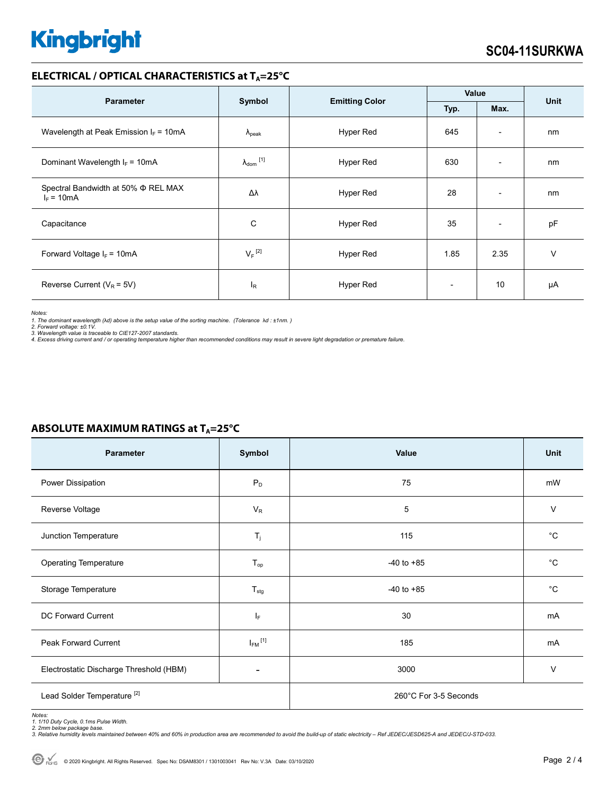# **Kingbright**

#### **ELECTRICAL / OPTICAL CHARACTERISTICS at T<sub>A</sub>=25°C**

| <b>Parameter</b>                                         | Symbol                         | <b>Emitting Color</b> | Value                    |                          | <b>Unit</b> |
|----------------------------------------------------------|--------------------------------|-----------------------|--------------------------|--------------------------|-------------|
|                                                          |                                |                       | Typ.                     | Max.                     |             |
| Wavelength at Peak Emission $I_F = 10mA$                 | $\Lambda_{\rm peak}$           | Hyper Red             | 645                      | $\overline{\phantom{0}}$ | nm          |
| Dominant Wavelength $I_F = 10mA$                         | $\lambda_{dom}$ <sup>[1]</sup> | Hyper Red             | 630                      | $\overline{\phantom{0}}$ | nm          |
| Spectral Bandwidth at 50% $\Phi$ REL MAX<br>$I_F = 10mA$ | Δλ                             | <b>Hyper Red</b>      | 28                       | $\overline{\phantom{a}}$ | nm          |
| Capacitance                                              | С                              | Hyper Red             | 35                       | $\overline{\phantom{a}}$ | pF          |
| Forward Voltage $I_F = 10mA$                             | $V_F$ <sup>[2]</sup>           | Hyper Red             | 1.85                     | 2.35                     | $\vee$      |
| Reverse Current ( $V_R$ = 5V)                            | $I_R$                          | <b>Hyper Red</b>      | $\overline{\phantom{0}}$ | 10                       | μA          |

*Notes:* 

1. The dominant wavelength (λd) above is the setup value of the sorting machine. (Tolerance λd : ±1nm. )<br>2. Forward voltage: ±0.1V.<br>3. Wavelength value is traceable to CIE127-2007 standards.<br>4. Excess driving current and

| Parameter                               | Symbol                   | Value                 | Unit         |  |
|-----------------------------------------|--------------------------|-----------------------|--------------|--|
| Power Dissipation                       | $P_D$                    | 75                    | mW           |  |
| Reverse Voltage                         | $V_R$                    | 5                     | $\vee$       |  |
| Junction Temperature                    | $T_{j}$                  | 115                   | $^{\circ}C$  |  |
| <b>Operating Temperature</b>            | $T_{op}$                 | $-40$ to $+85$        | $^{\circ}C$  |  |
| Storage Temperature                     | $T_{\text{stg}}$         | $-40$ to $+85$        | $^{\circ}$ C |  |
| DC Forward Current                      | ΙF                       | 30                    | mA           |  |
| Peak Forward Current                    | $I_{FM}$ <sup>[1]</sup>  | 185                   | mA           |  |
| Electrostatic Discharge Threshold (HBM) | $\overline{\phantom{0}}$ | 3000                  | $\vee$       |  |
| Lead Solder Temperature <sup>[2]</sup>  |                          | 260°C For 3-5 Seconds |              |  |

### **ABSOLUTE MAXIMUM RATINGS at T<sub>A</sub>=25°C**

Notes:<br>1. 1/10 Duty Cycle, 0.1ms Pulse Width.<br>2. 2mm below package base.<br>3. Relative humidity levels maintained between 40% and 60% in production area are recommended to avoid the build-up of static electricity – Ref JEDEC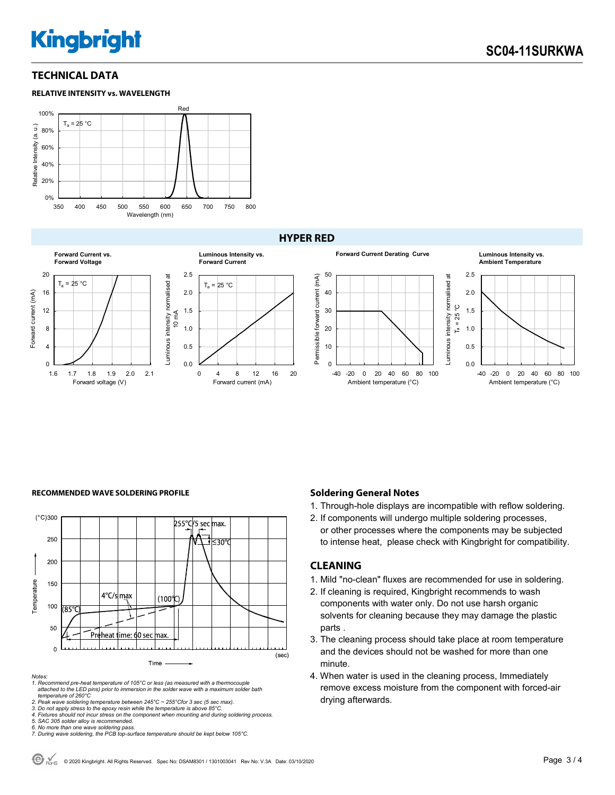# **Kingbright**

### **TECHNICAL DATA**





#### **HYPER RED**



#### **RECOMMENDED WAVE SOLDERING PROFILE <b>A CONDUCT A CONDUCT SOLDERING PROFILE Soldering General Notes**



*Notes:* 

*1. Recommend pre-heat temperature of 105°C or less (as measured with a thermocouple attached to the LED pins) prior to immersion in the solder wave with a maximum solder bath temperature of 260°C* 

2. Peak wave soldering temperature between 245°C ~ 255°Cfor 3 sec (5 sec max).<br>3. Do not apply stress to the epoxy resin while the temperature is above 85°C.<br>4. Fixtures should not incur stress on the component when mounti

*5. SAC 305 solder alloy is recommended.* 

- 1. Through-hole displays are incompatible with reflow soldering.
- 2. If components will undergo multiple soldering processes, or other processes where the components may be subjected to intense heat, please check with Kingbright for compatibility.

#### **CLEANING**

- 1. Mild "no-clean" fluxes are recommended for use in soldering.
- 2. If cleaning is required, Kingbright recommends to wash components with water only. Do not use harsh organic solvents for cleaning because they may damage the plastic parts .
- 3. The cleaning process should take place at room temperature and the devices should not be washed for more than one minute.
- 4. When water is used in the cleaning process, Immediately remove excess moisture from the component with forced-air drying afterwards.

*<sup>6.</sup> No more than one wave soldering pass. 7. During wave soldering, the PCB top-surface temperature should be kept below 105°C.*